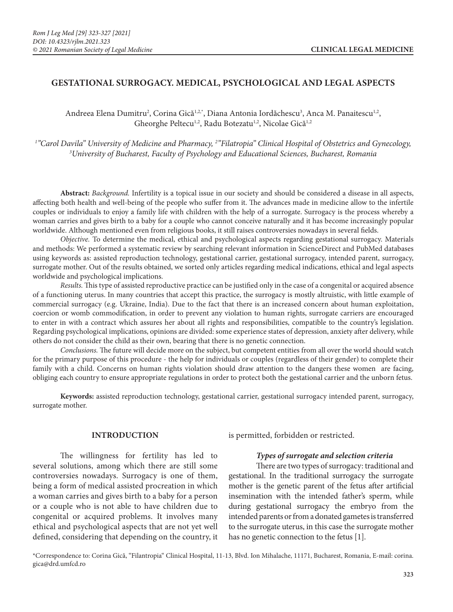## **GESTATIONAL SURROGACY. MEDICAL, PSYCHOLOGICAL AND LEGAL ASPECTS**

Andreea Elena Dumitru<sup>2</sup>, Corina Gică<sup>1,2,\*</sup>, Diana Antonia Iordăchescu<sup>3</sup>, Anca M. Panaitescu<sup>1,2</sup>, Gheorghe Peltecu<sup>1,2</sup>, Radu Botezatu<sup>1,2</sup>, Nicolae Gică<sup>1,2</sup>

*1 "Carol Davila" University of Medicine and Pharmacy, 2 "Filatropia" Clinical Hospital of Obstetrics and Gynecology, 3 University of Bucharest, Faculty of Psychology and Educational Sciences, Bucharest, Romania*

**Abstract:** *Background.* Infertility is a topical issue in our society and should be considered a disease in all aspects, affecting both health and well-being of the people who suffer from it. The advances made in medicine allow to the infertile couples or individuals to enjoy a family life with children with the help of a surrogate. Surrogacy is the process whereby a woman carries and gives birth to a baby for a couple who cannot conceive naturally and it has become increasingly popular worldwide. Although mentioned even from religious books, it still raises controversies nowadays in several fields.

*Objective.* To determine the medical, ethical and psychological aspects regarding gestational surrogacy. Materials and methods: We performed a systematic review by searching relevant information in ScienceDirect and PubMed databases using keywords as: assisted reproduction technology, gestational carrier, gestational surrogacy, intended parent, surrogacy, surrogate mother. Out of the results obtained, we sorted only articles regarding medical indications, ethical and legal aspects worldwide and psychological implications.

*Results.* This type of assisted reproductive practice can be justified only in the case of a congenital or acquired absence of a functioning uterus. In many countries that accept this practice, the surrogacy is mostly altruistic, with little example of commercial surrogacy (e.g. Ukraine, India). Due to the fact that there is an increased concern about human exploitation, coercion or womb commodification, in order to prevent any violation to human rights, surrogate carriers are encouraged to enter in with a contract which assures her about all rights and responsibilities, compatible to the country's legislation. Regarding psychological implications, opinions are divided: some experience states of depression, anxiety after delivery, while others do not consider the child as their own, bearing that there is no genetic connection.

*Conclusions.* The future will decide more on the subject, but competent entities from all over the world should watch for the primary purpose of this procedure - the help for individuals or couples (regardless of their gender) to complete their family with a child. Concerns on human rights violation should draw attention to the dangers these women are facing, obliging each country to ensure appropriate regulations in order to protect both the gestational carrier and the unborn fetus.

**Keywords:** assisted reproduction technology, gestational carrier, gestational surrogacy intended parent, surrogacy, surrogate mother.

### **INTRODUCTION**

The willingness for fertility has led to several solutions, among which there are still some controversies nowadays. Surrogacy is one of them, being a form of medical assisted procreation in which a woman carries and gives birth to a baby for a person or a couple who is not able to have children due to congenital or acquired problems. It involves many ethical and psychological aspects that are not yet well defined, considering that depending on the country, it is permitted, forbidden or restricted.

### *Types of surrogate and selection criteria*

There are two types of surrogacy: traditional and gestational. In the traditional surrogacy the surrogate mother is the genetic parent of the fetus after artificial insemination with the intended father's sperm, while during gestational surrogacy the embryo from the intended parents or from a donated gametes is transferred to the surrogate uterus, in this case the surrogate mother has no genetic connection to the fetus [1].

\*Correspondence to: Corina Gică, "Filantropia" Clinical Hospital, 11-13, Blvd. Ion Mihalache, 11171, Bucharest, Romania, E-mail: corina. gica@drd.umfcd.ro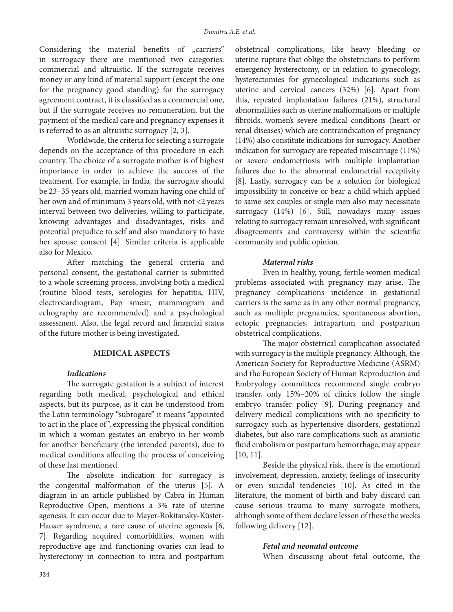Considering the material benefits of "carriers" in surrogacy there are mentioned two categories: commercial and altruistic. If the surrogate receives money or any kind of material support (except the one for the pregnancy good standing) for the surrogacy agreement contract, it is classified as a commercial one, but if the surrogate receives no remuneration, but the payment of the medical care and pregnancy expenses it is referred to as an altruistic surrogacy [2, 3].

Worldwide, the criteria for selecting a surrogate depends on the acceptance of this procedure in each country. The choice of a surrogate mother is of highest importance in order to achieve the success of the treatment. For example, in India, the surrogate should be 23–35 years old, married woman having one child of her own and of minimum 3 years old, with not <2 years interval between two deliveries, willing to participate, knowing advantages and disadvantages, risks and potential prejudice to self and also mandatory to have her spouse consent [4]. Similar criteria is applicable also for Mexico.

After matching the general criteria and personal consent, the gestational carrier is submitted to a whole screening process, involving both a medical (routine blood tests, serologies for hepatitis, HIV, electrocardiogram, Pap smear, mammogram and echography are recommended) and a psychological assessment. Also, the legal record and financial status of the future mother is being investigated.

# **MEDICAL ASPECTS**

#### *Indications*

The surrogate gestation is a subject of interest regarding both medical, psychological and ethical aspects, but its purpose, as it can be understood from the Latin terminology "subrogare" it means "appointed to act in the place of ", expressing the physical condition in which a woman gestates an embryo in her womb for another beneficiary (the intended parents), due to medical conditions affecting the process of conceiving of these last mentioned.

The absolute indication for surrogacy is the congenital malformation of the uterus [5]. A diagram in an article published by Cabra in Human Reproductive Open, mentions a 3% rate of uterine agenesis. It can occur due to Mayer-Rokitansky-Küster-Hauser syndrome, a rare cause of uterine agenesis [6, 7]. Regarding acquired comorbidities, women with reproductive age and functioning ovaries can lead to hysterectomy in connection to intra and postpartum obstetrical complications, like heavy bleeding or uterine rupture that oblige the obstetricians to perform emergency hysterectomy, or in relation to gynecology, hysterectomies for gynecological indications such as uterine and cervical cancers (32%) [6]. Apart from this, repeated implantation failures (21%), structural abnormalities such as uterine malformations or multiple fibroids, women's severe medical conditions (heart or renal diseases) which are contraindication of pregnancy (14%) also constitute indications for surrogacy. Another indication for surrogacy are repeated miscarriage (11%) or severe endometriosis with multiple implantation failures due to the abnormal endometrial receptivity [8]. Lastly, surrogacy can be a solution for biological impossibility to conceive or bear a child which applied to same-sex couples or single men also may necessitate surrogacy (14%) [6]. Still, nowadays many issues relating to surrogacy remain unresolved, with significant disagreements and controversy within the scientific community and public opinion.

### *Maternal risks*

Even in healthy, young, fertile women medical problems associated with pregnancy may arise. The pregnancy complications incidence in gestational carriers is the same as in any other normal pregnancy, such as multiple pregnancies, spontaneous abortion, ectopic pregnancies, intrapartum and postpartum obstetrical complications.

The major obstetrical complication associated with surrogacy is the multiple pregnancy. Although, the American Society for Reproductive Medicine (ASRM) and the European Society of Human Reproduction and Embryology committees recommend single embryo transfer, only 15%–20% of clinics follow the single embryo transfer policy [9]. During pregnancy and delivery medical complications with no specificity to surrogacy such as hypertensive disorders, gestational diabetes, but also rare complications such as amniotic fluid embolism or postpartum hemorrhage, may appear [10, 11].

Beside the physical risk, there is the emotional involvement, depression, anxiety, feelings of insecurity or even suicidal tendencies [10]. As cited in the literature, the moment of birth and baby discard can cause serious trauma to many surrogate mothers, although some of them declare lessen of these the weeks following delivery [12].

### *Fetal and neonatal outcome*

When discussing about fetal outcome, the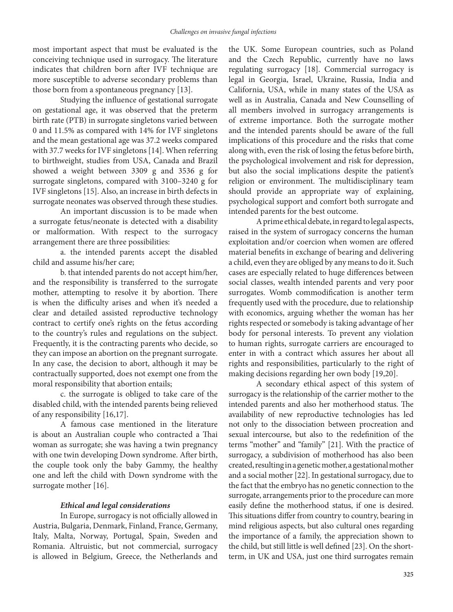most important aspect that must be evaluated is the conceiving technique used in surrogacy. The literature indicates that children born after IVF technique are more susceptible to adverse secondary problems than those born from a spontaneous pregnancy [13].

Studying the influence of gestational surrogate on gestational age, it was observed that the preterm birth rate (PTB) in surrogate singletons varied between 0 and 11.5% as compared with 14% for IVF singletons and the mean gestational age was 37.2 weeks compared with 37.7 weeks for IVF singletons [14]. When referring to birthweight, studies from USA, Canada and Brazil showed a weight between 3309 g and 3536 g for surrogate singletons, compared with 3100–3240 g for IVF singletons [15]. Also, an increase in birth defects in surrogate neonates was observed through these studies.

An important discussion is to be made when a surrogate fetus/neonate is detected with a disability or malformation. With respect to the surrogacy arrangement there are three possibilities:

a. the intended parents accept the disabled child and assume his/her care;

b. that intended parents do not accept him/her, and the responsibility is transferred to the surrogate mother, attempting to resolve it by abortion. There is when the difficulty arises and when it's needed a clear and detailed assisted reproductive technology contract to certify one's rights on the fetus according to the country's rules and regulations on the subject. Frequently, it is the contracting parents who decide, so they can impose an abortion on the pregnant surrogate. In any case, the decision to abort, although it may be contractually supported, does not exempt one from the moral responsibility that abortion entails;

c. the surrogate is obliged to take care of the disabled child, with the intended parents being relieved of any responsibility [16,17].

A famous case mentioned in the literature is about an Australian couple who contracted a Thai woman as surrogate; she was having a twin pregnancy with one twin developing Down syndrome. After birth, the couple took only the baby Gammy, the healthy one and left the child with Down syndrome with the surrogate mother [16].

### *Ethical and legal considerations*

In Europe, surrogacy is not officially allowed in Austria, Bulgaria, Denmark, Finland, France, Germany, Italy, Malta, Norway, Portugal, Spain, Sweden and Romania. Altruistic, but not commercial, surrogacy is allowed in Belgium, Greece, the Netherlands and the UK. Some European countries, such as Poland and the Czech Republic, currently have no laws regulating surrogacy [18]. Commercial surrogacy is legal in Georgia, Israel, Ukraine, Russia, India and California, USA, while in many states of the USA as well as in Australia, Canada and New Counselling of all members involved in surrogacy arrangements is of extreme importance. Both the surrogate mother and the intended parents should be aware of the full implications of this procedure and the risks that come along with, even the risk of losing the fetus before birth, the psychological involvement and risk for depression, but also the social implications despite the patient's religion or environment. The multidisciplinary team should provide an appropriate way of explaining, psychological support and comfort both surrogate and intended parents for the best outcome.

A prime ethical debate, in regard to legal aspects, raised in the system of surrogacy concerns the human exploitation and/or coercion when women are offered material benefits in exchange of bearing and delivering a child, even they are obliged by any means to do it. Such cases are especially related to huge differences between social classes, wealth intended parents and very poor surrogates. Womb commodification is another term frequently used with the procedure, due to relationship with economics, arguing whether the woman has her rights respected or somebody is taking advantage of her body for personal interests. To prevent any violation to human rights, surrogate carriers are encouraged to enter in with a contract which assures her about all rights and responsibilities, particularly to the right of making decisions regarding her own body [19,20].

A secondary ethical aspect of this system of surrogacy is the relationship of the carrier mother to the intended parents and also her motherhood status. The availability of new reproductive technologies has led not only to the dissociation between procreation and sexual intercourse, but also to the redefinition of the terms "mother'' and "family" [21]. With the practice of surrogacy, a subdivision of motherhood has also been created, resulting in a genetic mother, a gestational mother and a social mother [22]. In gestational surrogacy, due to the fact that the embryo has no genetic connection to the surrogate, arrangements prior to the procedure can more easily define the motherhood status, if one is desired. This situations differ from country to country, bearing in mind religious aspects, but also cultural ones regarding the importance of a family, the appreciation shown to the child, but still little is well defined [23]. On the shortterm, in UK and USA, just one third surrogates remain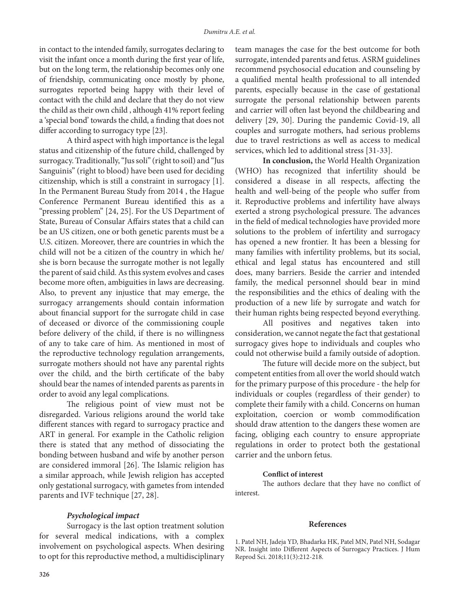in contact to the intended family, surrogates declaring to visit the infant once a month during the first year of life, but on the long term, the relationship becomes only one of friendship, communicating once mostly by phone, surrogates reported being happy with their level of contact with the child and declare that they do not view the child as their own child , although 41% report feeling a 'special bond' towards the child, a finding that does not differ according to surrogacy type [23].

A third aspect with high importance is the legal status and citizenship of the future child, challenged by surrogacy. Traditionally, "Jus soli" (right to soil) and "Jus Sanguinis" (right to blood) have been used for deciding citizenship, which is still a constraint in surrogacy [1]. In the Permanent Bureau Study from 2014 , the Hague Conference Permanent Bureau identified this as a "pressing problem" [24, 25]. For the US Department of State, Bureau of Consular Affairs states that a child can be an US citizen, one or both genetic parents must be a U.S. citizen. Moreover, there are countries in which the child will not be a citizen of the country in which he/ she is born because the surrogate mother is not legally the parent of said child. As this system evolves and cases become more often, ambiguities in laws are decreasing. Also, to prevent any injustice that may emerge, the surrogacy arrangements should contain information about financial support for the surrogate child in case of deceased or divorce of the commissioning couple before delivery of the child, if there is no willingness of any to take care of him. As mentioned in most of the reproductive technology regulation arrangements, surrogate mothers should not have any parental rights over the child, and the birth certificate of the baby should bear the names of intended parents as parents in order to avoid any legal complications.

The religious point of view must not be disregarded. Various religions around the world take different stances with regard to surrogacy practice and ART in general. For example in the Catholic religion there is stated that any method of dissociating the bonding between husband and wife by another person are considered immoral [26]. The Islamic religion has a similar approach, while Jewish religion has accepted only gestational surrogacy, with gametes from intended parents and IVF technique [27, 28].

team manages the case for the best outcome for both surrogate, intended parents and fetus. ASRM guidelines recommend psychosocial education and counseling by a qualified mental health professional to all intended parents, especially because in the case of gestational surrogate the personal relationship between parents and carrier will often last beyond the childbearing and delivery [29, 30]. During the pandemic Covid-19, all couples and surrogate mothers, had serious problems due to travel restrictions as well as access to medical services, which led to additional stress [31-33].

**In conclusion,** the World Health Organization (WHO) has recognized that infertility should be considered a disease in all respects, affecting the health and well-being of the people who suffer from it. Reproductive problems and infertility have always exerted a strong psychological pressure. The advances in the field of medical technologies have provided more solutions to the problem of infertility and surrogacy has opened a new frontier. It has been a blessing for many families with infertility problems, but its social, ethical and legal status has encountered and still does, many barriers. Beside the carrier and intended family, the medical personnel should bear in mind the responsibilities and the ethics of dealing with the production of a new life by surrogate and watch for their human rights being respected beyond everything.

All positives and negatives taken into consideration, we cannot negate the fact that gestational surrogacy gives hope to individuals and couples who could not otherwise build a family outside of adoption.

The future will decide more on the subject, but competent entities from all over the world should watch for the primary purpose of this procedure - the help for individuals or couples (regardless of their gender) to complete their family with a child. Concerns on human exploitation, coercion or womb commodification should draw attention to the dangers these women are facing, obliging each country to ensure appropriate regulations in order to protect both the gestational carrier and the unborn fetus.

### **Conflict of interest**

The authors declare that they have no conflict of interest.

### *Psychological impact*

Surrogacy is the last option treatment solution for several medical indications, with a complex involvement on psychological aspects. When desiring to opt for this reproductive method, a multidisciplinary

#### **References**

1. Patel NH, Jadeja YD, Bhadarka HK, Patel MN, Patel NH, Sodagar NR. Insight into Different Aspects of Surrogacy Practices. J Hum Reprod Sci. 2018;11(3):212-218.